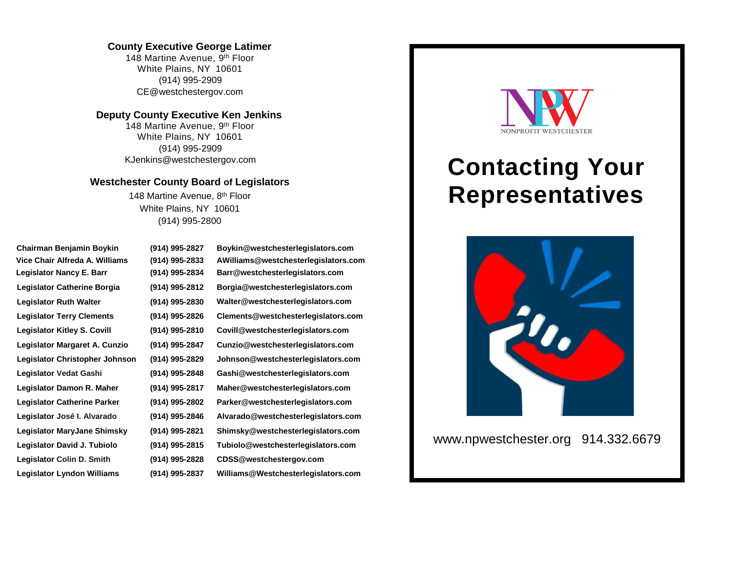## **County Executive George Latimer**

148 Martine Avenue, 9<sup>th</sup> Floor White Plains, NY 10601 (914) 995-2909 CE@westchestergov.com

## **Deputy County Executive Ken Jenkins**

148 Martine Avenue, 9<sup>th</sup> Floor White Plains, NY 10601 (914) 995-2909 KJenkins@westchestergov.com

## **Westchester County Board of Legislators**

148 Martine Avenue, 8<sup>th</sup> Floor White Plains, NY 10601 (914) 995-2800

| Chairman Benjamin Boykin           | (914) 995-2827 | Boykin@westchesterlegislators.com    |
|------------------------------------|----------------|--------------------------------------|
| Vice Chair Alfreda A. Williams     | (914) 995-2833 | AWilliams@westchesterlegislators.com |
| <b>Legislator Nancy E. Barr</b>    | (914) 995-2834 | Barr@westchesterlegislators.com      |
| Legislator Catherine Borgia        | (914) 995-2812 | Borgia@westchesterlegislators.com    |
| <b>Legislator Ruth Walter</b>      | (914) 995-2830 | Walter@westchesterlegislators.com    |
| <b>Legislator Terry Clements</b>   | (914) 995-2826 | Clements@westchesterlegislators.com  |
| <b>Legislator Kitley S. Covill</b> | (914) 995-2810 | Covill@westchesterlegislators.com    |
| Legislator Margaret A. Cunzio      | (914) 995-2847 | Cunzio@westchesterlegislators.com    |
| Legislator Christopher Johnson     | (914) 995-2829 | Johnson@westchesterlegislators.com   |
| Legislator Vedat Gashi             | (914) 995-2848 | Gashi@westchesterlegislators.com     |
| Legislator Damon R. Maher          | (914) 995-2817 | Maher@westchesterlegislators.com     |
| <b>Legislator Catherine Parker</b> | (914) 995-2802 | Parker@westchesterlegislators.com    |
| Legislator José I. Alvarado        | (914) 995-2846 | Alvarado@westchesterlegislators.com  |
| Legislator MaryJane Shimsky        | (914) 995-2821 | Shimsky@westchesterlegislators.com   |
| Legislator David J. Tubiolo        | (914) 995-2815 | Tubiolo@westchesterlegislators.com   |
| Legislator Colin D. Smith          | (914) 995-2828 | CDSS@westchestergov.com              |
| Legislator Lyndon Williams         | (914) 995-2837 | Williams@Westchesterlegislators.com  |



## **Contacting Your Representatives**